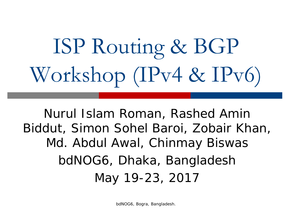# ISP Routing & BGP Workshop (IPv4 & IPv6)

Nurul Islam Roman, Rashed Amin Biddut, Simon Sohel Baroi, Zobair Khan, Md. Abdul Awal, Chinmay Biswas bdNOG6, Dhaka, Bangladesh May 19-23, 2017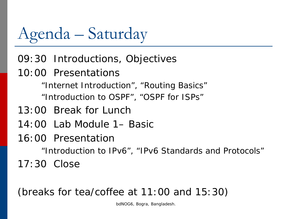# Agenda – Saturday

- 09:30 Introductions, Objectives
- 10:00 Presentations
	- "Internet Introduction", "Routing Basics"
	- "Introduction to OSPF", "OSPF for ISPs"
- 13:00 Break for Lunch
- 14:00 Lab Module 1– Basic
- 16:00 Presentation
	- "Introduction to IPv6", "IPv6 Standards and Protocols"
- 17:30 Close

(breaks for tea/coffee at 11:00 and 15:30)

bdNOG6, Bogra, Bangladesh.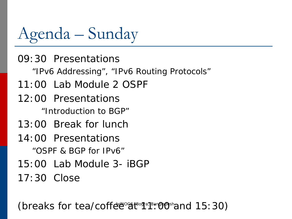# Agenda – Sunday

09:30 Presentations "IPv6 Addressing", "IPv6 Routing Protocols" 11:00 Lab Module 2 OSPF 12:00 Presentations "Introduction to BGP" 13:00 Break for lunch 14:00 Presentations "OSPF & BGP for IPv6" 15:00 Lab Module 3- iBGP 17:30 Close

(breaks for tea/coffee at  $15:30$ )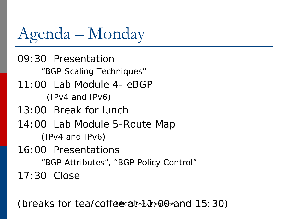## Agenda – Monday

09:30 Presentation "BGP Scaling Techniques" 11:00 Lab Module 4- eBGP (IPv4 and IPv6) 13:00 Break for lunch 14:00 Lab Module 5-Route Map (IPv4 and IPv6) 16:00 Presentations "BGP Attributes", "BGP Policy Control" 17:30 Close

(breaks for tea/coffee at  $\mathbb{R}$ <sub>an</sub>ge  $\mathbb{R}$  and 15:30)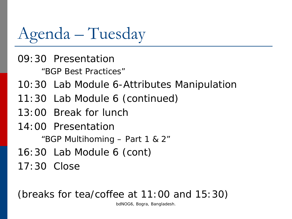Agenda – Tuesday

09:30 Presentation "BGP Best Practices"

10:30 Lab Module 6-Attributes Manipulation

- 11:30 Lab Module 6 (continued)
- 13:00 Break for lunch
- 14:00 Presentation

"BGP Multihoming – Part 1 & 2"

16:30 Lab Module 6 (cont)

17:30 Close

(breaks for tea/coffee at 11:00 and 15:30)

bdNOG6, Bogra, Bangladesh.